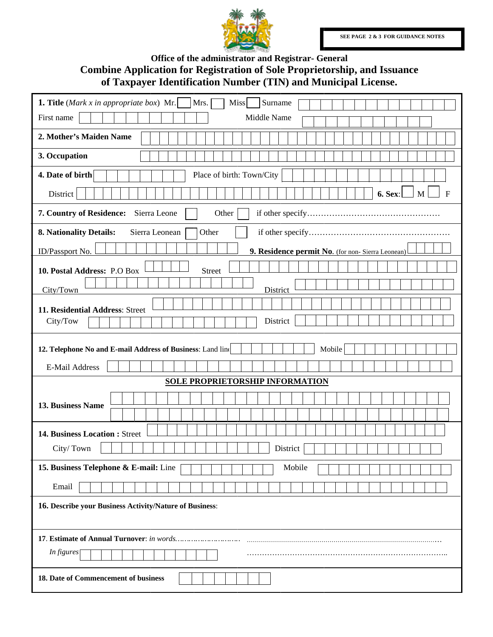

## Office of the administrator and Registrar- General Combine Application for Registration of Sole Proprietorship, and Issuance of Taxpayer Identification Number (TIN) and Municipal License.

| Surname<br><b>1. Title</b> ( <i>Mark x in appropriate box</i> ) Mr.<br>Mrs.<br>Miss |
|-------------------------------------------------------------------------------------|
| Middle Name<br>First name                                                           |
| 2. Mother's Maiden Name                                                             |
| 3. Occupation                                                                       |
| 4. Date of birth<br>Place of birth: Town/City                                       |
| 6. Sex:<br>M<br>$\mathbf{F}$<br>District                                            |
| 7. Country of Residence:<br>Sierra Leone<br>Other                                   |
| 8. Nationality Details:<br>Sierra Leonean<br>Other                                  |
| ID/Passport No.<br>9. Residence permit No. (for non-Sierra Leonean)                 |
| 10. Postal Address: P.O Box<br><b>Street</b>                                        |
| City/Town<br>District                                                               |
|                                                                                     |
| 11. Residential Address: Street<br>District<br>City/Tow                             |
|                                                                                     |
| 12. Telephone No and E-mail Address of Business: Land line<br>Mobile                |
| E-Mail Address                                                                      |
| <b>SOLE PROPRIETORSHIP INFORMATION</b>                                              |
| <b>13. Business Name</b>                                                            |
|                                                                                     |
| 14. Business Location : Street                                                      |
| District<br>City/Town                                                               |
| 15. Business Telephone & E-mail: Line<br>Mobile                                     |
| Email                                                                               |
| 16. Describe your Business Activity/Nature of Business:                             |
|                                                                                     |
| In figures                                                                          |
| 18. Date of Commencement of business                                                |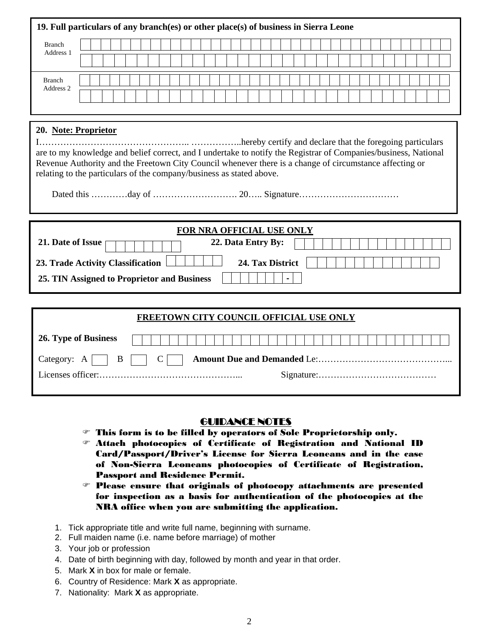| 19. Full particulars of any branch(es) or other place(s) of business in Sierra Leone                                                                                                                                                                                                                                       |
|----------------------------------------------------------------------------------------------------------------------------------------------------------------------------------------------------------------------------------------------------------------------------------------------------------------------------|
| <b>Branch</b><br>Address 1                                                                                                                                                                                                                                                                                                 |
| <b>Branch</b><br>Address 2                                                                                                                                                                                                                                                                                                 |
| 20. Note: Proprietor<br>are to my knowledge and belief correct, and I undertake to notify the Registrar of Companies/business, National<br>Revenue Authority and the Freetown City Council whenever there is a change of circumstance affecting or<br>relating to the particulars of the company/business as stated above. |
|                                                                                                                                                                                                                                                                                                                            |
| FOR NRA OFFICIAL USE ONLY<br>21. Date of Issue<br>22. Data Entry By:<br>24. Tax District<br>23. Trade Activity Classification<br>25. TIN Assigned to Proprietor and Business                                                                                                                                               |
|                                                                                                                                                                                                                                                                                                                            |
| FREETOWN CITY COUNCIL OFFICIAL USE ONLY                                                                                                                                                                                                                                                                                    |
| 26. Type of Business                                                                                                                                                                                                                                                                                                       |
| $\bf{B}$<br>$\mathcal{C}$<br>Category: $A$                                                                                                                                                                                                                                                                                 |

## GUIDANCE NOTES

- $\mathcal F$  This form is to be filled by operators of Sole Proprietorship only.
- $\mathcal F$  Attach photocopies of Certificate of Registration and National ID Card/Passport/Driver's License for Sierra Leoneans and in the case of Non-Sierra Leoneans photocopies of Certificate of Registration, Passport and Residence Permit.
- $\infty$  Please ensure that originals of photocopy attachments are presented for inspection as a basis for authentication of the photocopies at the NRA office when you are submitting the application.
- 1. Tick appropriate title and write full name, beginning with surname.
- 2. Full maiden name (i.e. name before marriage) of mother
- 3. Your job or profession
- 4. Date of birth beginning with day, followed by month and year in that order.
- 5. Mark **X** in box for male or female.
- 6. Country of Residence: Mark **X** as appropriate.
- 7. Nationality: Mark **X** as appropriate.